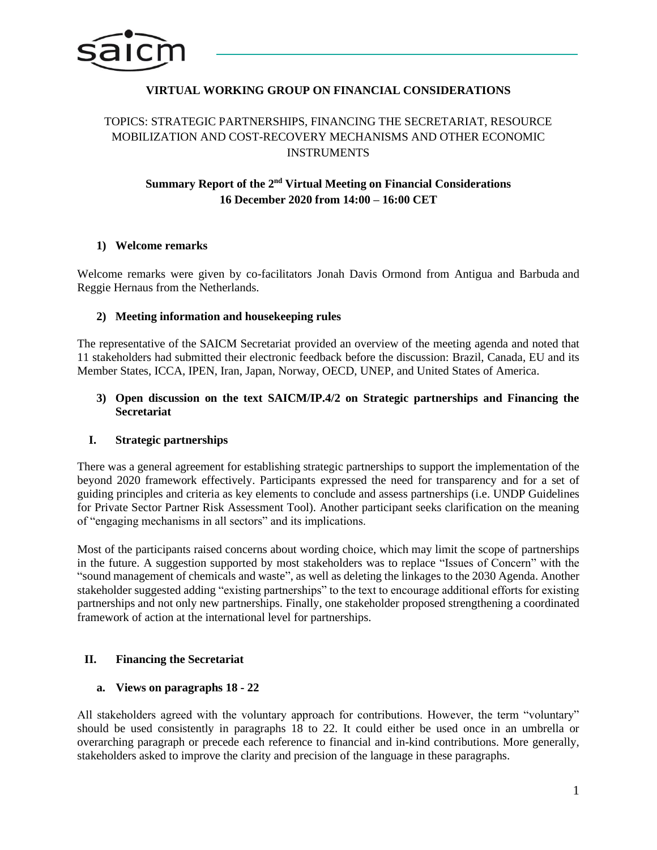

## **VIRTUAL WORKING GROUP ON FINANCIAL CONSIDERATIONS**

# TOPICS: STRATEGIC PARTNERSHIPS, FINANCING THE SECRETARIAT, RESOURCE MOBILIZATION AND COST-RECOVERY MECHANISMS AND OTHER ECONOMIC INSTRUMENTS

# **Summary Report of the 2 nd Virtual Meeting on Financial Considerations 16 December 2020 from 14:00 – 16:00 CET**

## **1) Welcome remarks**

Welcome remarks were given by co-facilitators Jonah Davis Ormond from Antigua and Barbuda and Reggie Hernaus from the Netherlands.

## **2) Meeting information and housekeeping rules**

The representative of the SAICM Secretariat provided an overview of the meeting agenda and noted that 11 stakeholders had submitted their electronic feedback before the discussion: Brazil, Canada, EU and its Member States, ICCA, IPEN, Iran, Japan, Norway, OECD, UNEP, and United States of America.

#### **3) Open discussion on the text SAICM/IP.4/2 on Strategic partnerships and Financing the Secretariat**

#### **I. Strategic partnerships**

There was a general agreement for establishing strategic partnerships to support the implementation of the beyond 2020 framework effectively. Participants expressed the need for transparency and for a set of guiding principles and criteria as key elements to conclude and assess partnerships (i.e. UNDP Guidelines for Private Sector Partner Risk Assessment Tool). Another participant seeks clarification on the meaning of "engaging mechanisms in all sectors" and its implications.

Most of the participants raised concerns about wording choice, which may limit the scope of partnerships in the future. A suggestion supported by most stakeholders was to replace "Issues of Concern" with the "sound management of chemicals and waste", as well as deleting the linkages to the 2030 Agenda. Another stakeholder suggested adding "existing partnerships" to the text to encourage additional efforts for existing partnerships and not only new partnerships. Finally, one stakeholder proposed strengthening a coordinated framework of action at the international level for partnerships.

#### **II. Financing the Secretariat**

#### **a. Views on paragraphs 18 - 22**

All stakeholders agreed with the voluntary approach for contributions. However, the term "voluntary" should be used consistently in paragraphs 18 to 22. It could either be used once in an umbrella or overarching paragraph or precede each reference to financial and in-kind contributions. More generally, stakeholders asked to improve the clarity and precision of the language in these paragraphs.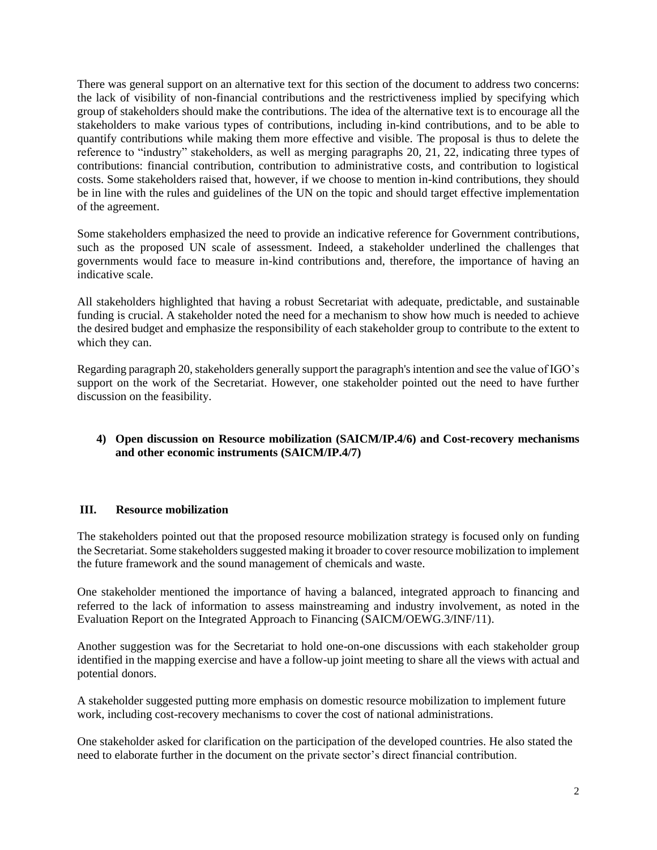There was general support on an alternative text for this section of the document to address two concerns: the lack of visibility of non-financial contributions and the restrictiveness implied by specifying which group of stakeholders should make the contributions. The idea of the alternative text is to encourage all the stakeholders to make various types of contributions, including in-kind contributions, and to be able to quantify contributions while making them more effective and visible. The proposal is thus to delete the reference to "industry" stakeholders, as well as merging paragraphs 20, 21, 22, indicating three types of contributions: financial contribution, contribution to administrative costs, and contribution to logistical costs. Some stakeholders raised that, however, if we choose to mention in-kind contributions, they should be in line with the rules and guidelines of the UN on the topic and should target effective implementation of the agreement.

Some stakeholders emphasized the need to provide an indicative reference for Government contributions, such as the proposed UN scale of assessment. Indeed, a stakeholder underlined the challenges that governments would face to measure in-kind contributions and, therefore, the importance of having an indicative scale.

All stakeholders highlighted that having a robust Secretariat with adequate, predictable, and sustainable funding is crucial. A stakeholder noted the need for a mechanism to show how much is needed to achieve the desired budget and emphasize the responsibility of each stakeholder group to contribute to the extent to which they can.

Regarding paragraph 20, stakeholders generally support the paragraph's intention and see the value of IGO's support on the work of the Secretariat. However, one stakeholder pointed out the need to have further discussion on the feasibility.

## **4) Open discussion on Resource mobilization (SAICM/IP.4/6) and Cost-recovery mechanisms and other economic instruments (SAICM/IP.4/7)**

#### **III. Resource mobilization**

The stakeholders pointed out that the proposed resource mobilization strategy is focused only on funding the Secretariat. Some stakeholderssuggested making it broader to cover resource mobilization to implement the future framework and the sound management of chemicals and waste.

One stakeholder mentioned the importance of having a balanced, integrated approach to financing and referred to the lack of information to assess mainstreaming and industry involvement, as noted in the Evaluation Report on the Integrated Approach to Financing (SAICM/OEWG.3/INF/11).

Another suggestion was for the Secretariat to hold one-on-one discussions with each stakeholder group identified in the mapping exercise and have a follow-up joint meeting to share all the views with actual and potential donors.

A stakeholder suggested putting more emphasis on domestic resource mobilization to implement future work, including cost-recovery mechanisms to cover the cost of national administrations.

One stakeholder asked for clarification on the participation of the developed countries. He also stated the need to elaborate further in the document on the private sector's direct financial contribution.